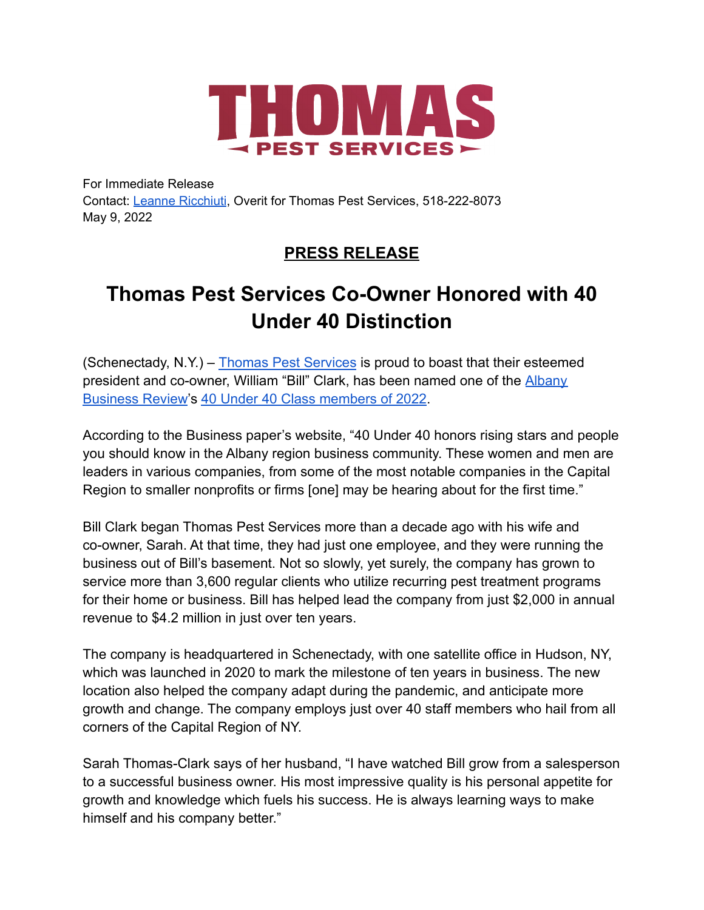

For Immediate Release Contact: Leanne [Ricchiuti](mailto:leanne.ricchiuti@overit.com), Overit for Thomas Pest Services, 518-222-8073 May 9, 2022

## **PRESS RELEASE**

## **Thomas Pest Services Co-Owner Honored with 40 Under 40 Distinction**

(Schenectady, N.Y.) – [Thomas Pest Services](https://www.thomaspestservices.com/) is proud to boast that their esteemed president and co-owner, William "Bill" Clark, has been named one of the [Albany](https://www.bizjournals.com/albany/) [Business Review](https://www.bizjournals.com/albany/)'s [40 Under 40 Class members of 2022](https://www.bizjournals.com/albany/news/2022/03/15/40-under-40-2022-group-2.html#:~:text=Anthony%20Ali%2C%20entrepreneur%2C%20The%20Ali,content%20strategy%2C%20Creative%20Communication%20Associates).

According to the Business paper's website, "40 Under 40 honors rising stars and people you should know in the Albany region business community. These women and men are leaders in various companies, from some of the most notable companies in the Capital Region to smaller nonprofits or firms [one] may be hearing about for the first time."

Bill Clark began Thomas Pest Services more than a decade ago with his wife and co-owner, Sarah. At that time, they had just one employee, and they were running the business out of Bill's basement. Not so slowly, yet surely, the company has grown to service more than 3,600 regular clients who utilize recurring pest treatment programs for their home or business. Bill has helped lead the company from just \$2,000 in annual revenue to \$4.2 million in just over ten years.

The company is headquartered in Schenectady, with one satellite office in Hudson, NY, which was launched in 2020 to mark the milestone of ten years in business. The new location also helped the company adapt during the pandemic, and anticipate more growth and change. The company employs just over 40 staff members who hail from all corners of the Capital Region of NY.

Sarah Thomas-Clark says of her husband, "I have watched Bill grow from a salesperson to a successful business owner. His most impressive quality is his personal appetite for growth and knowledge which fuels his success. He is always learning ways to make himself and his company better."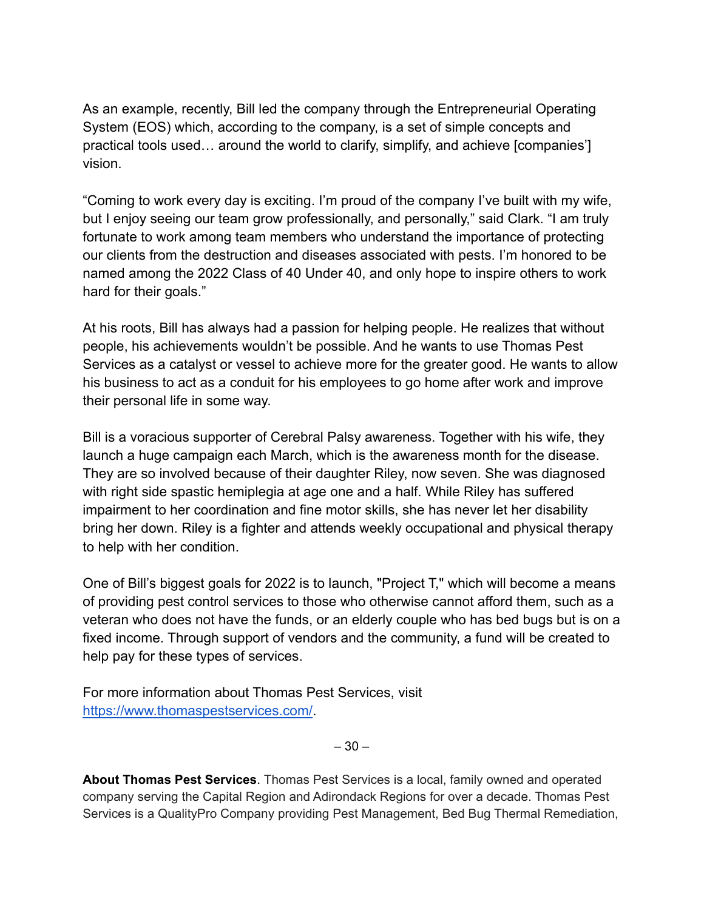As an example, recently, Bill led the company through the Entrepreneurial Operating System (EOS) which, according to the company, is a set of simple concepts and practical tools used… around the world to clarify, simplify, and achieve [companies'] vision.

"Coming to work every day is exciting. I'm proud of the company I've built with my wife, but I enjoy seeing our team grow professionally, and personally," said Clark. "I am truly fortunate to work among team members who understand the importance of protecting our clients from the destruction and diseases associated with pests. I'm honored to be named among the 2022 Class of 40 Under 40, and only hope to inspire others to work hard for their goals."

At his roots, Bill has always had a passion for helping people. He realizes that without people, his achievements wouldn't be possible. And he wants to use Thomas Pest Services as a catalyst or vessel to achieve more for the greater good. He wants to allow his business to act as a conduit for his employees to go home after work and improve their personal life in some way.

Bill is a voracious supporter of Cerebral Palsy awareness. Together with his wife, they launch a huge campaign each March, which is the awareness month for the disease. They are so involved because of their daughter Riley, now seven. She was diagnosed with right side spastic hemiplegia at age one and a half. While Riley has suffered impairment to her coordination and fine motor skills, she has never let her disability bring her down. Riley is a fighter and attends weekly occupational and physical therapy to help with her condition.

One of Bill's biggest goals for 2022 is to launch, "Project T," which will become a means of providing pest control services to those who otherwise cannot afford them, such as a veteran who does not have the funds, or an elderly couple who has bed bugs but is on a fixed income. Through support of vendors and the community, a fund will be created to help pay for these types of services.

For more information about Thomas Pest Services, visit <https://www.thomaspestservices.com/>.

 $-30-$ 

**About Thomas Pest Services**. Thomas Pest Services is a local, family owned and operated company serving the Capital Region and Adirondack Regions for over a decade. Thomas Pest Services is a QualityPro Company providing Pest Management, Bed Bug Thermal Remediation,